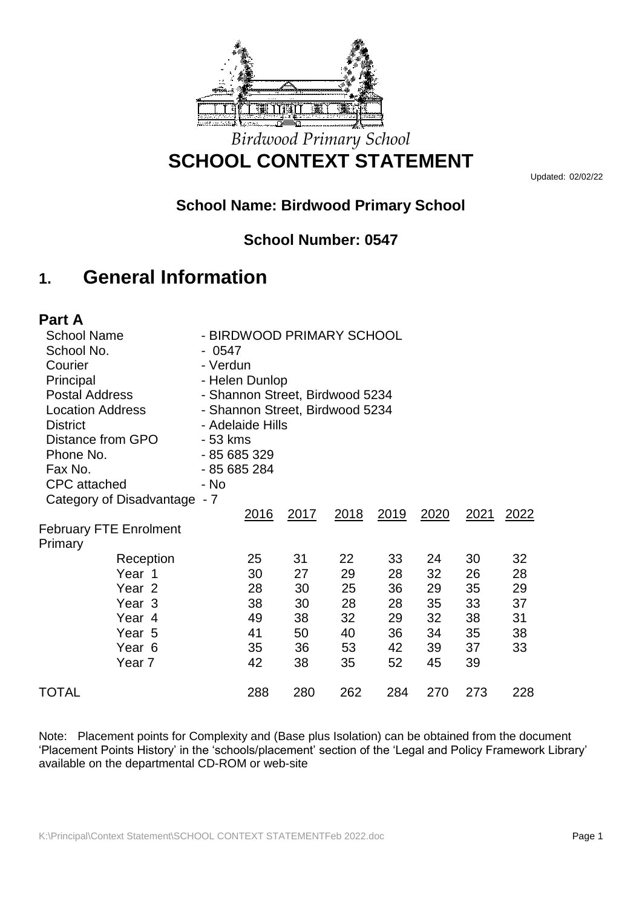

### *Birdwood Primary School* **SCHOOL CONTEXT STATEMENT**

Updated: 02/02/22

### **School Name: Birdwood Primary School**

### **School Number: 0547**

### **1. General Information**

| Part A                        |                                 |      |             |      |             |               |               |
|-------------------------------|---------------------------------|------|-------------|------|-------------|---------------|---------------|
| <b>School Name</b>            | - BIRDWOOD PRIMARY SCHOOL       |      |             |      |             |               |               |
| School No.                    | - 0547                          |      |             |      |             |               |               |
| Courier                       | - Verdun                        |      |             |      |             |               |               |
| Principal                     | - Helen Dunlop                  |      |             |      |             |               |               |
| <b>Postal Address</b>         | - Shannon Street, Birdwood 5234 |      |             |      |             |               |               |
| <b>Location Address</b>       | - Shannon Street, Birdwood 5234 |      |             |      |             |               |               |
| <b>District</b>               | - Adelaide Hills                |      |             |      |             |               |               |
| Distance from GPO             | - 53 kms                        |      |             |      |             |               |               |
| Phone No.                     | - 85 685 329                    |      |             |      |             |               |               |
| Fax No.                       | - 85 685 284                    |      |             |      |             |               |               |
| <b>CPC</b> attached           | - No                            |      |             |      |             |               |               |
| Category of Disadvantage - 7  |                                 |      |             |      |             |               |               |
|                               | <u>2016</u>                     | 2017 | <u>2018</u> | 2019 | <u>2020</u> | <u> 2021 </u> | <u> 2022 </u> |
| <b>February FTE Enrolment</b> |                                 |      |             |      |             |               |               |
| Primary                       |                                 |      |             |      |             |               |               |
| Reception                     | 25                              | 31   | 22          | 33   | 24          | 30            | 32            |
| Year 1                        | 30                              | 27   | 29          | 28   | 32          | 26            | 28            |
| Year <sub>2</sub>             | 28                              | 30   | 25          | 36   | 29          | 35            | 29            |
| Year 3                        | 38                              | 30   | 28          | 28   | 35          | 33            | 37            |
| Year 4                        | 49                              | 38   | 32          | 29   | 32          | 38            | 31            |
| Year 5                        | 41                              | 50   | 40          | 36   | 34          | 35            | 38            |
| Year <sub>6</sub>             | 35                              | 36   | 53          | 42   | 39          | 37            | 33            |
| Year <sub>7</sub>             | 42                              | 38   | 35          | 52   | 45          | 39            |               |
| TOTAL                         | 288                             | 280  | 262         | 284  | 270         | 273           | 228           |

Note: Placement points for Complexity and (Base plus Isolation) can be obtained from the document 'Placement Points History' in the 'schools/placement' section of the 'Legal and Policy Framework Library' available on the departmental CD-ROM or web-site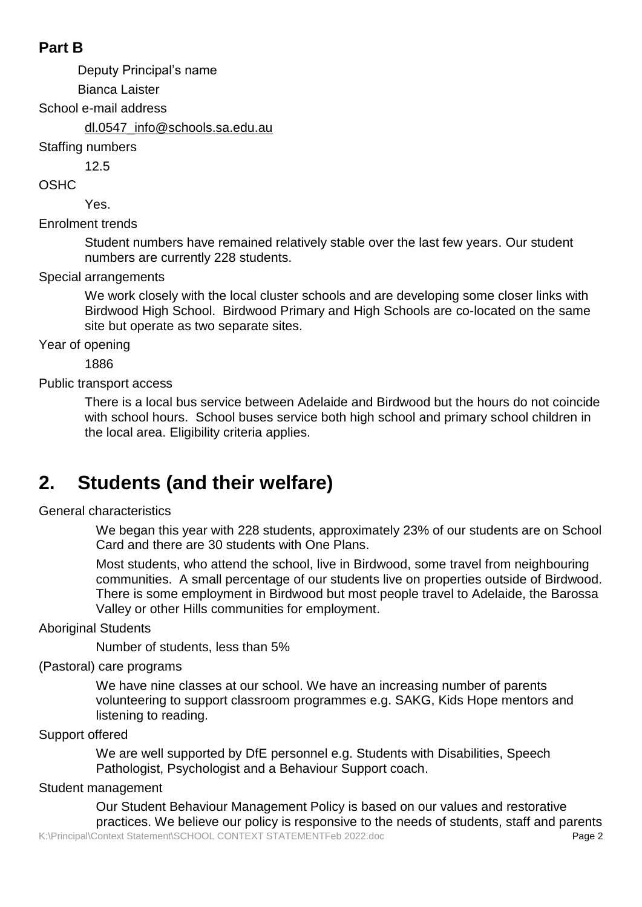### **Part B**

Deputy Principal's name

Bianca Laister

School e-mail address

dl.0547\_info@schools.sa.edu.au

Staffing numbers

12.5

OSHC

Yes.

Enrolment trends

Student numbers have remained relatively stable over the last few years. Our student numbers are currently 228 students.

Special arrangements

We work closely with the local cluster schools and are developing some closer links with Birdwood High School. Birdwood Primary and High Schools are co-located on the same site but operate as two separate sites.

Year of opening

1886

Public transport access

There is a local bus service between Adelaide and Birdwood but the hours do not coincide with school hours. School buses service both high school and primary school children in the local area. Eligibility criteria applies.

# **2. Students (and their welfare)**

General characteristics

We began this year with 228 students, approximately 23% of our students are on School Card and there are 30 students with One Plans.

Most students, who attend the school, live in Birdwood, some travel from neighbouring communities. A small percentage of our students live on properties outside of Birdwood. There is some employment in Birdwood but most people travel to Adelaide, the Barossa Valley or other Hills communities for employment.

Aboriginal Students

Number of students, less than 5%

(Pastoral) care programs

We have nine classes at our school. We have an increasing number of parents volunteering to support classroom programmes e.g. SAKG, Kids Hope mentors and listening to reading.

Support offered

We are well supported by DfE personnel e.g. Students with Disabilities, Speech Pathologist, Psychologist and a Behaviour Support coach.

Student management

K:\Principal\Context Statement\SCHOOL CONTEXT STATEMENTFeb 2022.doc **Page 2** Our Student Behaviour Management Policy is based on our values and restorative practices. We believe our policy is responsive to the needs of students, staff and parents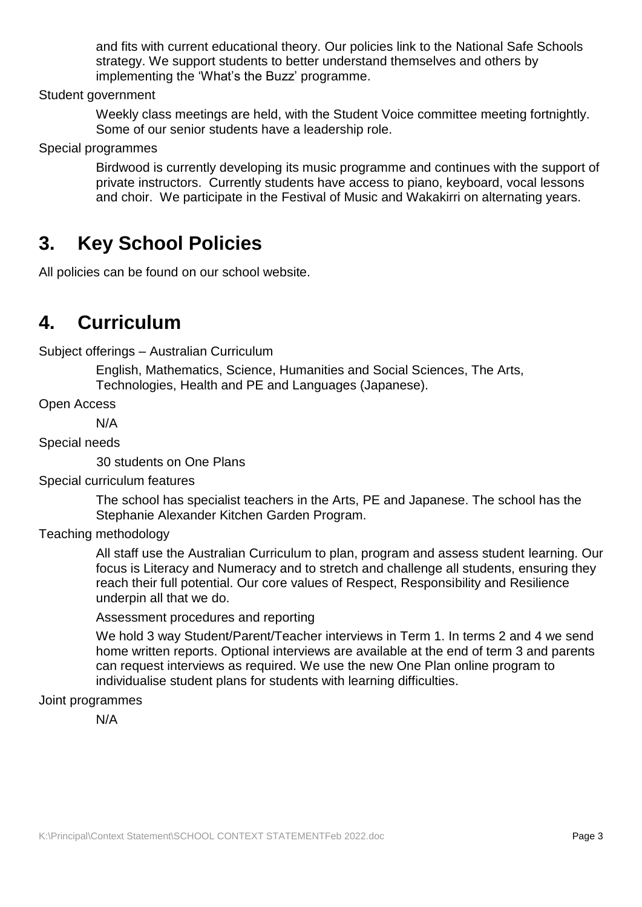and fits with current educational theory. Our policies link to the National Safe Schools strategy. We support students to better understand themselves and others by implementing the 'What's the Buzz' programme.

Student government

Weekly class meetings are held, with the Student Voice committee meeting fortnightly. Some of our senior students have a leadership role.

Special programmes

Birdwood is currently developing its music programme and continues with the support of private instructors. Currently students have access to piano, keyboard, vocal lessons and choir. We participate in the Festival of Music and Wakakirri on alternating years.

### **3. Key School Policies**

All policies can be found on our school website.

### **4. Curriculum**

Subject offerings – Australian Curriculum

English, Mathematics, Science, Humanities and Social Sciences, The Arts, Technologies, Health and PE and Languages (Japanese).

Open Access

N/A

Special needs

30 students on One Plans

Special curriculum features

The school has specialist teachers in the Arts, PE and Japanese. The school has the Stephanie Alexander Kitchen Garden Program.

Teaching methodology

All staff use the Australian Curriculum to plan, program and assess student learning. Our focus is Literacy and Numeracy and to stretch and challenge all students, ensuring they reach their full potential. Our core values of Respect, Responsibility and Resilience underpin all that we do.

#### Assessment procedures and reporting

We hold 3 way Student/Parent/Teacher interviews in Term 1. In terms 2 and 4 we send home written reports. Optional interviews are available at the end of term 3 and parents can request interviews as required. We use the new One Plan online program to individualise student plans for students with learning difficulties.

#### Joint programmes

N/A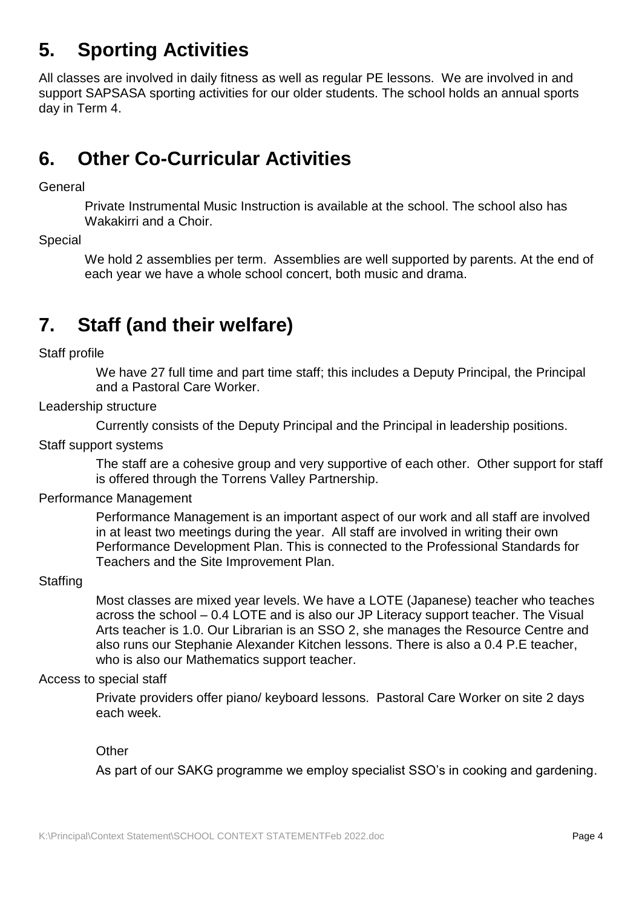# **5. Sporting Activities**

All classes are involved in daily fitness as well as regular PE lessons. We are involved in and support SAPSASA sporting activities for our older students. The school holds an annual sports day in Term 4.

## **6. Other Co-Curricular Activities**

#### General

Private Instrumental Music Instruction is available at the school. The school also has Wakakirri and a Choir.

Special

We hold 2 assemblies per term. Assemblies are well supported by parents. At the end of each year we have a whole school concert, both music and drama.

## **7. Staff (and their welfare)**

Staff profile

We have 27 full time and part time staff; this includes a Deputy Principal, the Principal and a Pastoral Care Worker.

#### Leadership structure

Currently consists of the Deputy Principal and the Principal in leadership positions.

Staff support systems

The staff are a cohesive group and very supportive of each other. Other support for staff is offered through the Torrens Valley Partnership.

#### Performance Management

Performance Management is an important aspect of our work and all staff are involved in at least two meetings during the year. All staff are involved in writing their own Performance Development Plan. This is connected to the Professional Standards for Teachers and the Site Improvement Plan.

#### **Staffing**

Most classes are mixed year levels. We have a LOTE (Japanese) teacher who teaches across the school – 0.4 LOTE and is also our JP Literacy support teacher. The Visual Arts teacher is 1.0. Our Librarian is an SSO 2, she manages the Resource Centre and also runs our Stephanie Alexander Kitchen lessons. There is also a 0.4 P.E teacher, who is also our Mathematics support teacher.

#### Access to special staff

Private providers offer piano/ keyboard lessons. Pastoral Care Worker on site 2 days each week.

#### **Other**

As part of our SAKG programme we employ specialist SSO's in cooking and gardening.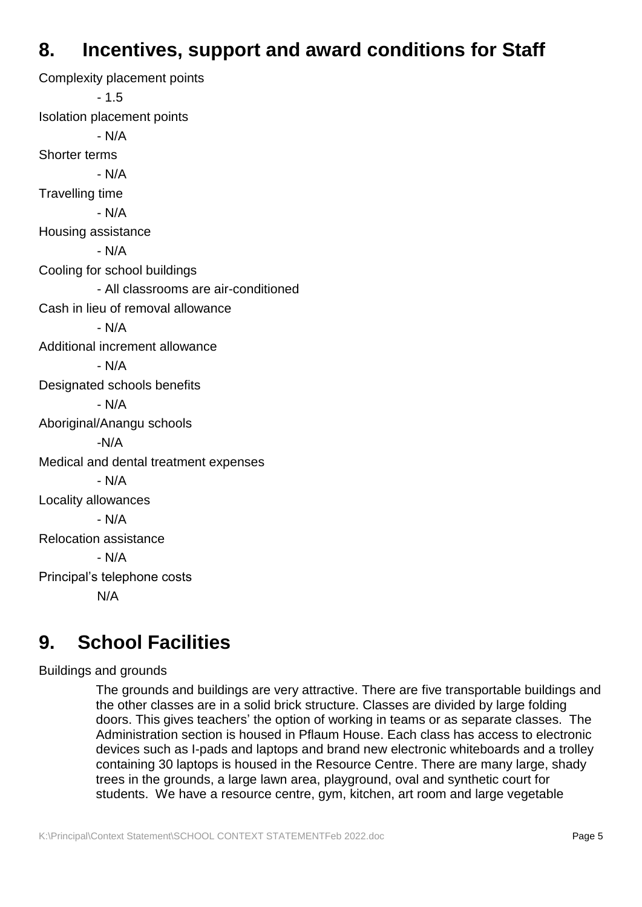### **8. Incentives, support and award conditions for Staff**

Complexity placement points - 1.5 Isolation placement points - N/A Shorter terms - N/A Travelling time - N/A Housing assistance - N/A Cooling for school buildings - All classrooms are air-conditioned Cash in lieu of removal allowance - N/A Additional increment allowance - N/A Designated schools benefits - N/A Aboriginal/Anangu schools -N/A Medical and dental treatment expenses - N/A Locality allowances - N/A Relocation assistance - N/A Principal's telephone costs N/A

## **9. School Facilities**

Buildings and grounds

The grounds and buildings are very attractive. There are five transportable buildings and the other classes are in a solid brick structure. Classes are divided by large folding doors. This gives teachers' the option of working in teams or as separate classes. The Administration section is housed in Pflaum House. Each class has access to electronic devices such as I-pads and laptops and brand new electronic whiteboards and a trolley containing 30 laptops is housed in the Resource Centre. There are many large, shady trees in the grounds, a large lawn area, playground, oval and synthetic court for students. We have a resource centre, gym, kitchen, art room and large vegetable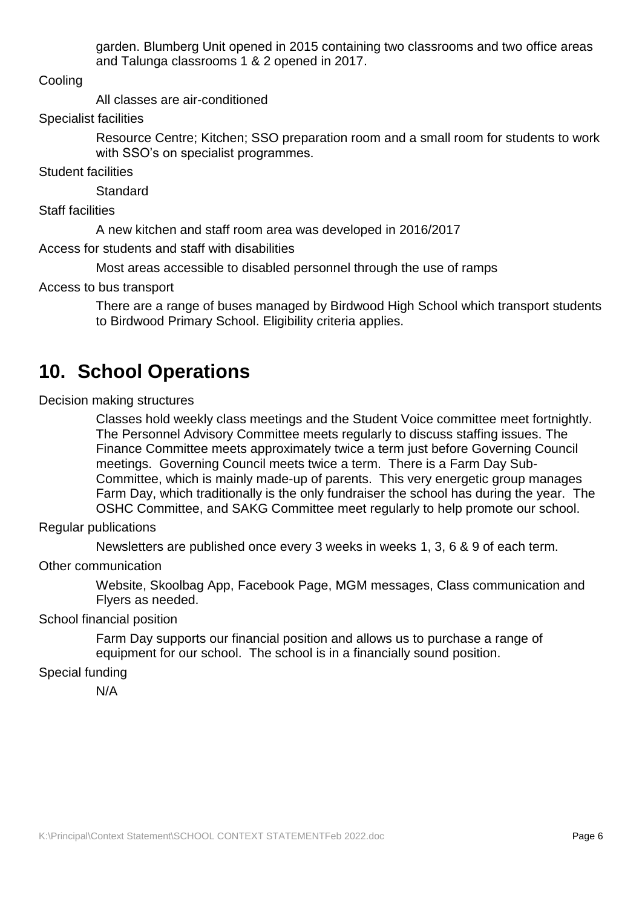garden. Blumberg Unit opened in 2015 containing two classrooms and two office areas and Talunga classrooms 1 & 2 opened in 2017.

**Cooling** 

All classes are air-conditioned

Specialist facilities

Resource Centre; Kitchen; SSO preparation room and a small room for students to work with SSO's on specialist programmes.

Student facilities

**Standard** 

Staff facilities

A new kitchen and staff room area was developed in 2016/2017

Access for students and staff with disabilities

Most areas accessible to disabled personnel through the use of ramps

Access to bus transport

There are a range of buses managed by Birdwood High School which transport students to Birdwood Primary School. Eligibility criteria applies.

### **10. School Operations**

Decision making structures

Classes hold weekly class meetings and the Student Voice committee meet fortnightly. The Personnel Advisory Committee meets regularly to discuss staffing issues. The Finance Committee meets approximately twice a term just before Governing Council meetings. Governing Council meets twice a term. There is a Farm Day Sub-Committee, which is mainly made-up of parents. This very energetic group manages Farm Day, which traditionally is the only fundraiser the school has during the year. The OSHC Committee, and SAKG Committee meet regularly to help promote our school.

Regular publications

Newsletters are published once every 3 weeks in weeks 1, 3, 6 & 9 of each term.

Other communication

Website, Skoolbag App, Facebook Page, MGM messages, Class communication and Flyers as needed.

School financial position

Farm Day supports our financial position and allows us to purchase a range of equipment for our school. The school is in a financially sound position.

Special funding

N/A